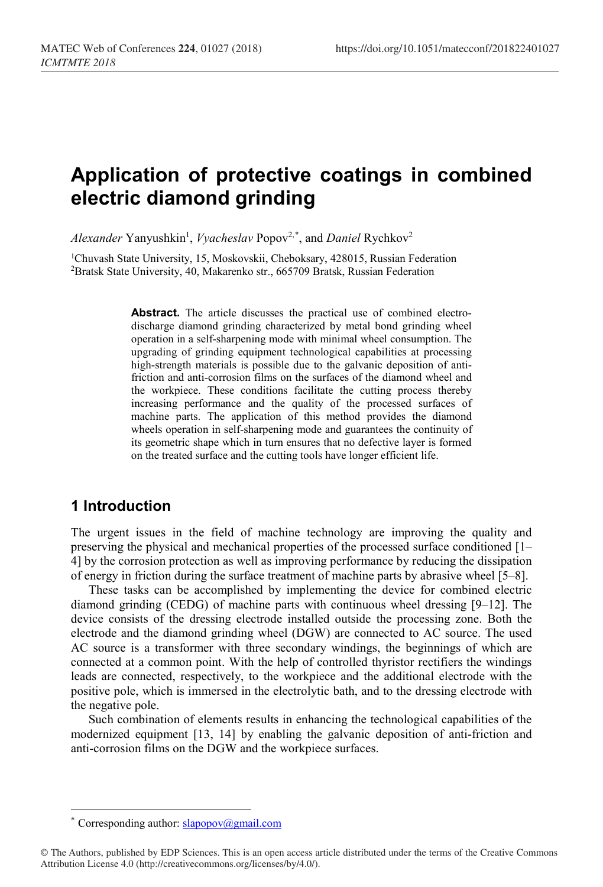# **Application of protective coatings in combined electric diamond grinding**

Alexander Yanyushkin<sup>1</sup>, *Vyacheslav* Popov<sup>2,[\\*](#page-0-0)</sup>, and *Daniel* Rychkov<sup>2</sup>

<sup>1</sup>Chuvash State University, 15, Moskovskii, Cheboksary, 428015, Russian Federation 2Bratsk State University, 40, Makarenko str., 665709 Bratsk, Russian Federation

> **Abstract.** The article discusses the practical use of combined electrodischarge diamond grinding characterized by metal bond grinding wheel operation in a self-sharpening mode with minimal wheel consumption. The upgrading of grinding equipment technological capabilities at processing high-strength materials is possible due to the galvanic deposition of antifriction and anti-corrosion films on the surfaces of the diamond wheel and the workpiece. These conditions facilitate the cutting process thereby increasing performance and the quality of the processed surfaces of machine parts. The application of this method provides the diamond wheels operation in self-sharpening mode and guarantees the continuity of its geometric shape which in turn ensures that no defective layer is formed on the treated surface and the cutting tools have longer efficient life.

### **1 Introduction**

The urgent issues in the field of machine technology are improving the quality and preserving the physical and mechanical properties of the processed surface conditioned [1– 4] by the corrosion protection as well as improving performance by reducing the dissipation of energy in friction during the surface treatment of machine parts by abrasive wheel [5–8].

These tasks can be accomplished by implementing the device for combined electric diamond grinding (CEDG) of machine parts with continuous wheel dressing [9–12]. The device consists of the dressing electrode installed outside the processing zone. Both the electrode and the diamond grinding wheel (DGW) are connected to AC source. The used AC source is a transformer with three secondary windings, the beginnings of which are connected at a common point. With the help of controlled thyristor rectifiers the windings leads are connected, respectively, to the workpiece and the additional electrode with the positive pole, which is immersed in the electrolytic bath, and to the dressing electrode with the negative pole.

Such combination of elements results in enhancing the technological capabilities of the modernized equipment [13, 14] by enabling the galvanic deposition of anti-friction and anti-corrosion films on the DGW and the workpiece surfaces.

 $\overline{a}$ 

Corresponding author:  $slapopov(\omega gmail.com)$ 

<span id="page-0-0"></span><sup>©</sup> The Authors, published by EDP Sciences. This is an open access article distributed under the terms of the Creative Commons Attribution License 4.0 (http://creativecommons.org/licenses/by/4.0/).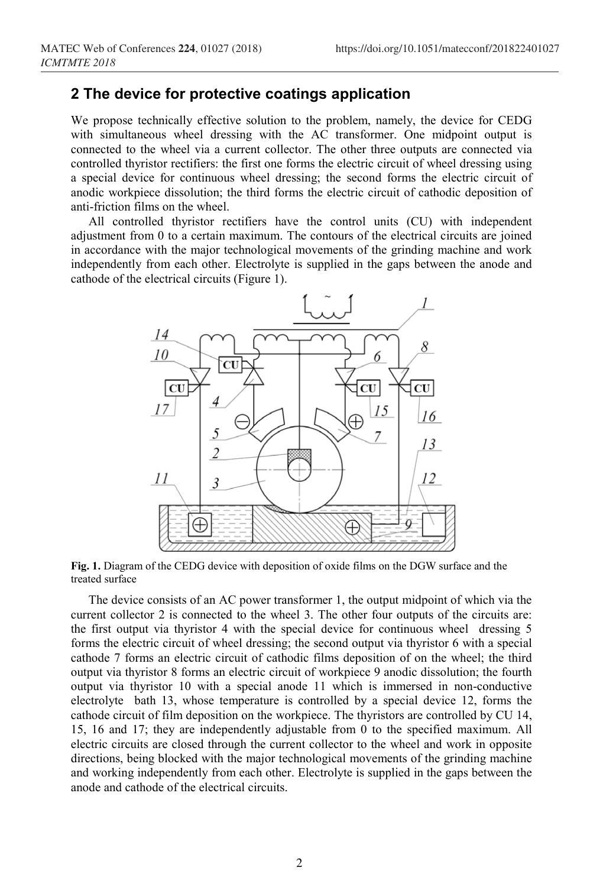#### **2 The device for protective coatings application**

We propose technically effective solution to the problem, namely, the device for CEDG with simultaneous wheel dressing with the AC transformer. One midpoint output is connected to the wheel via a current collector. The other three outputs are connected via controlled thyristor rectifiers: the first one forms the electric circuit of wheel dressing using a special device for continuous wheel dressing; the second forms the electric circuit of anodic workpiece dissolution; the third forms the electric circuit of cathodic deposition of anti-friction films on the wheel.

All controlled thyristor rectifiers have the control units (CU) with independent adjustment from 0 to a certain maximum. The contours of the electrical circuits are joined in accordance with the major technological movements of the grinding machine and work independently from each other. Electrolyte is supplied in the gaps between the anode and cathode of the electrical circuits (Figure 1).



**Fig. 1.** Diagram of the CEDG device with deposition of oxide films on the DGW surface and the treated surface

The device consists of an AC power transformer 1, the output midpoint of which via the current collector 2 is connected to the wheel 3. The other four outputs of the circuits are: the first output via thyristor 4 with the special device for continuous wheel dressing 5 forms the electric circuit of wheel dressing; the second output via thyristor 6 with a special cathode 7 forms an electric circuit of cathodic films deposition of on the wheel; the third output via thyristor 8 forms an electric circuit of workpiece 9 anodic dissolution; the fourth output via thyristor 10 with a special anode 11 which is immersed in non-conductive electrolyte bath 13, whose temperature is controlled by a special device 12, forms the cathode circuit of film deposition on the workpiece. The thyristors are controlled by CU 14, 15, 16 and 17; they are independently adjustable from 0 to the specified maximum. All electric circuits are closed through the current collector to the wheel and work in opposite directions, being blocked with the major technological movements of the grinding machine and working independently from each other. Electrolyte is supplied in the gaps between the anode and cathode of the electrical circuits.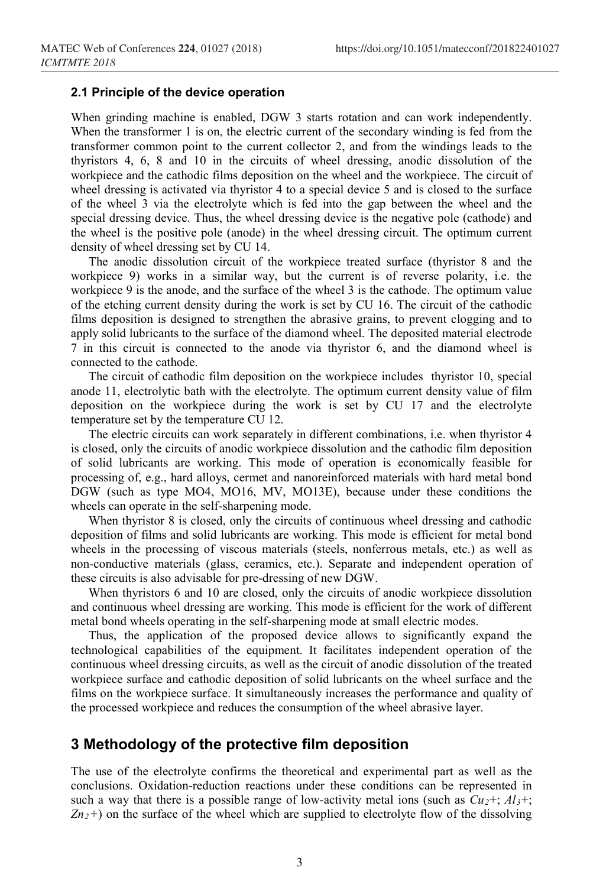#### **2.1 Principle of the device operation**

When grinding machine is enabled, DGW 3 starts rotation and can work independently. When the transformer 1 is on, the electric current of the secondary winding is fed from the transformer common point to the current collector 2, and from the windings leads to the thyristors 4, 6, 8 and 10 in the circuits of wheel dressing, anodic dissolution of the workpiece and the cathodic films deposition on the wheel and the workpiece. The circuit of wheel dressing is activated via thyristor 4 to a special device 5 and is closed to the surface of the wheel 3 via the electrolyte which is fed into the gap between the wheel and the special dressing device. Thus, the wheel dressing device is the negative pole (cathode) and the wheel is the positive pole (anode) in the wheel dressing circuit. The optimum current density of wheel dressing set by CU 14.

The anodic dissolution circuit of the workpiece treated surface (thyristor 8 and the workpiece 9) works in a similar way, but the current is of reverse polarity, i.e. the workpiece 9 is the anode, and the surface of the wheel 3 is the cathode. The optimum value of the etching current density during the work is set by CU 16. The circuit of the cathodic films deposition is designed to strengthen the abrasive grains, to prevent clogging and to apply solid lubricants to the surface of the diamond wheel. The deposited material electrode 7 in this circuit is connected to the anode via thyristor 6, and the diamond wheel is connected to the cathode.

The circuit of cathodic film deposition on the workpiece includes thyristor 10, special anode 11, electrolytic bath with the electrolyte. The optimum current density value of film deposition on the workpiece during the work is set by CU 17 and the electrolyte temperature set by the temperature CU 12.

The electric circuits can work separately in different combinations, i.e. when thyristor 4 is closed, only the circuits of anodic workpiece dissolution and the cathodic film deposition of solid lubricants are working. This mode of operation is economically feasible for processing of, e.g., hard alloys, cermet and nanoreinforced materials with hard metal bond DGW (such as type МО4, МО16, MV, МО13E), because under these conditions the wheels can operate in the self-sharpening mode.

When thyristor 8 is closed, only the circuits of continuous wheel dressing and cathodic deposition of films and solid lubricants are working. This mode is efficient for metal bond wheels in the processing of viscous materials (steels, nonferrous metals, etc.) as well as non-conductive materials (glass, ceramics, etc.). Separate and independent operation of these circuits is also advisable for pre-dressing of new DGW.

When thyristors 6 and 10 are closed, only the circuits of anodic workpiece dissolution and continuous wheel dressing are working. This mode is efficient for the work of different metal bond wheels operating in the self-sharpening mode at small electric modes.

Thus, the application of the proposed device allows to significantly expand the technological capabilities of the equipment. It facilitates independent operation of the continuous wheel dressing circuits, as well as the circuit of anodic dissolution of the treated workpiece surface and cathodic deposition of solid lubricants on the wheel surface and the films on the workpiece surface. It simultaneously increases the performance and quality of the processed workpiece and reduces the consumption of the wheel abrasive layer.

# **3 Methodology of the protective film deposition**

The use of the electrolyte confirms the theoretical and experimental part as well as the conclusions. Oxidation-reduction reactions under these conditions can be represented in such a way that there is a possible range of low-activity metal ions (such as  $Cu_2$ +;  $Al_3$ +; *Zn2+*) on the surface of the wheel which are supplied to electrolyte flow of the dissolving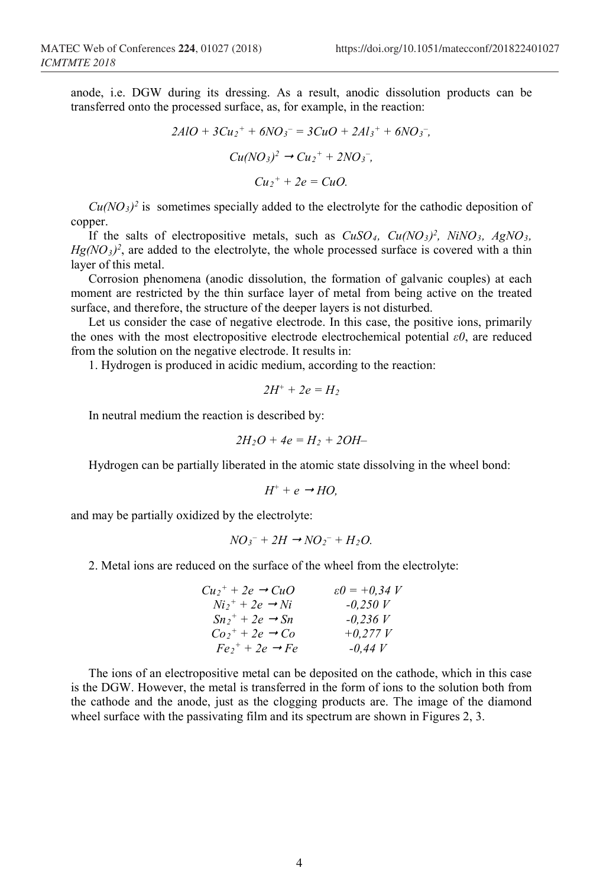anode, i.e. DGW during its dressing. As a result, anodic dissolution products can be transferred onto the processed surface, as, for example, in the reaction:

$$
2AlO + 3Cu2+ + 6NO3- = 3CuO + 2Al3+ + 6NO3-,\nCu(NO3)2 \rightarrow Cu2+ + 2NO3-,\nCu2+ + 2e = CuO.
$$

 $Cu(NO<sub>3</sub>)<sup>2</sup>$  is sometimes specially added to the electrolyte for the cathodic deposition of copper.

If the salts of electropositive metals, such as  $CuSO_4$ ,  $Cu(NO_3)^2$ ,  $NiNO_3$ ,  $AgNO_3$ ,  $Hg(NO<sub>3</sub>)<sup>2</sup>$ , are added to the electrolyte, the whole processed surface is covered with a thin layer of this metal.

Corrosion phenomena (anodic dissolution, the formation of galvanic couples) at each moment are restricted by the thin surface layer of metal from being active on the treated surface, and therefore, the structure of the deeper layers is not disturbed.

Let us consider the case of negative electrode. In this case, the positive ions, primarily the ones with the most electropositive electrode electrochemical potential *ε0*, are reduced from the solution on the negative electrode. It results in:

1. Hydrogen is produced in acidic medium, according to the reaction:

$$
2H^++2e=H_2
$$

In neutral medium the reaction is described by:

$$
2H_2O + 4e = H_2 + 2OH -
$$

Hydrogen can be partially liberated in the atomic state dissolving in the wheel bond:

$$
H^+ + e \rightarrow HO,
$$

and may be partially oxidized by the electrolyte:

$$
NO_3^- + 2H \rightarrow NO_2^- + H_2O.
$$

2. Metal ions are reduced on the surface of the wheel from the electrolyte:

| $Cu_2$ <sup>+</sup> + 2e $\rightarrow CuO$ | $\varepsilon \theta = +0.34$ V |
|--------------------------------------------|--------------------------------|
| $Ni2+ + 2e \rightarrow Ni$                 | $-0.250 V$                     |
| $Sn_2^+$ + 2e $\rightarrow$ Sn             | $-0.236 V$                     |
| $Co_2^+$ + 2e $\rightarrow Co$             | $+0.277 V$                     |
| $Fe_2^+$ + 2e $\rightarrow Fe$             | $-0.44 V$                      |

The ions of an electropositive metal can be deposited on the cathode, which in this case is the DGW. However, the metal is transferred in the form of ions to the solution both from the cathode and the anode, just as the clogging products are. The image of the diamond wheel surface with the passivating film and its spectrum are shown in Figures 2, 3.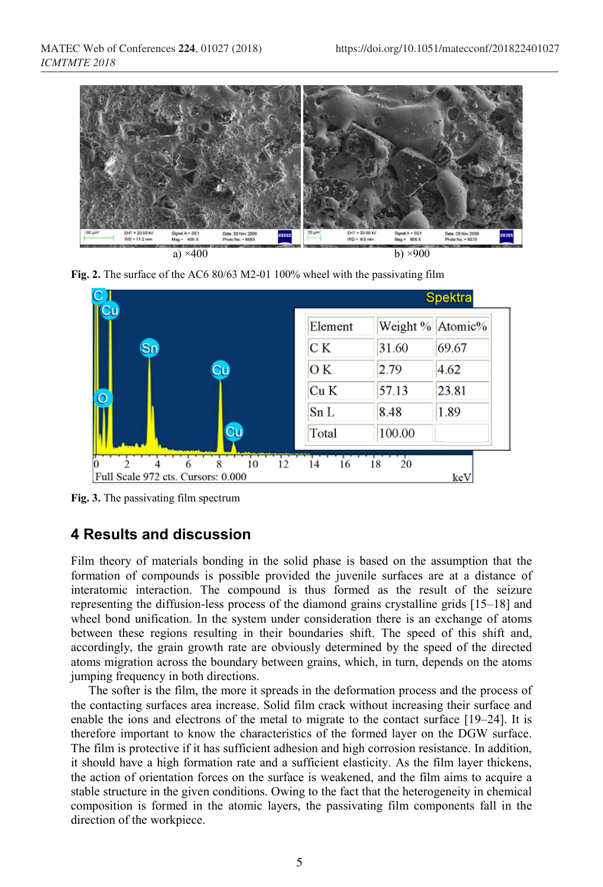





**Fig. 3.** The passivating film spectrum

# **4 Results and discussion**

Film theory of materials bonding in the solid phase is based on the assumption that the formation of compounds is possible provided the juvenile surfaces are at a distance of interatomic interaction. The compound is thus formed as the result of the seizure representing the diffusion-less process of the diamond grains crystalline grids [15–18] and wheel bond unification. In the system under consideration there is an exchange of atoms between these regions resulting in their boundaries shift. The speed of this shift and, accordingly, the grain growth rate are obviously determined by the speed of the directed atoms migration across the boundary between grains, which, in turn, depends on the atoms jumping frequency in both directions.

The softer is the film, the more it spreads in the deformation process and the process of the contacting surfaces area increase. Solid film crack without increasing their surface and enable the ions and electrons of the metal to migrate to the contact surface [19–24]. It is therefore important to know the characteristics of the formed layer on the DGW surface. The film is protective if it has sufficient adhesion and high corrosion resistance. In addition, it should have a high formation rate and a sufficient elasticity. As the film layer thickens, the action of orientation forces on the surface is weakened, and the film aims to acquire a stable structure in the given conditions. Owing to the fact that the heterogeneity in chemical composition is formed in the atomic layers, the passivating film components fall in the direction of the workpiece.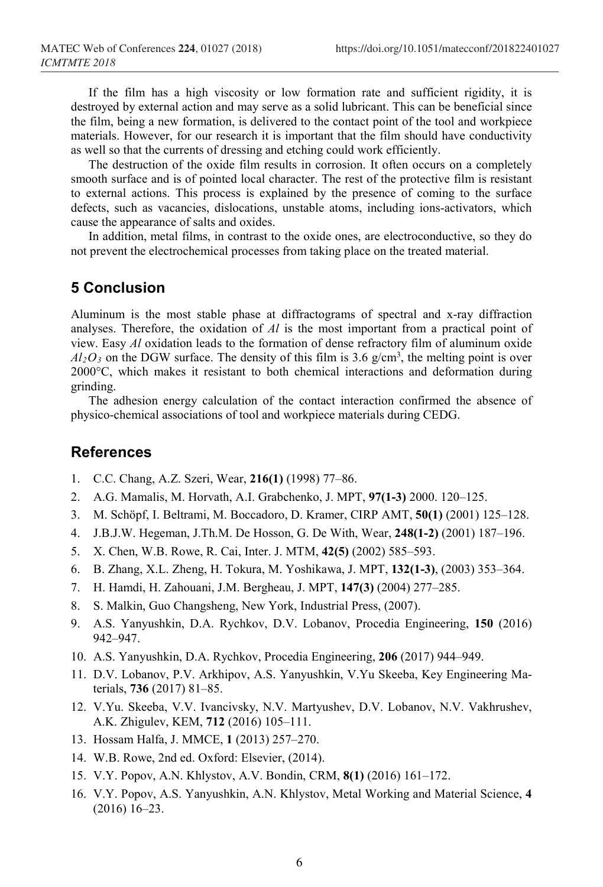If the film has a high viscosity or low formation rate and sufficient rigidity, it is destroyed by external action and may serve as a solid lubricant. This can be beneficial since the film, being a new formation, is delivered to the contact point of the tool and workpiece materials. However, for our research it is important that the film should have conductivity as well so that the currents of dressing and etching could work efficiently.

The destruction of the oxide film results in corrosion. It often occurs on a completely smooth surface and is of pointed local character. The rest of the protective film is resistant to external actions. This process is explained by the presence of coming to the surface defects, such as vacancies, dislocations, unstable atoms, including ions-activators, which cause the appearance of salts and oxides.

In addition, metal films, in contrast to the oxide ones, are electroconductive, so they do not prevent the electrochemical processes from taking place on the treated material.

#### **5 Conclusion**

Aluminum is the most stable phase at diffractograms of spectral and x-ray diffraction analyses. Therefore, the oxidation of *Al* is the most important from a practical point of view. Easy *Al* oxidation leads to the formation of dense refractory film of aluminum oxide  $Al_2O_3$  on the DGW surface. The density of this film is 3.6 g/cm<sup>3</sup>, the melting point is over 2000°C, which makes it resistant to both chemical interactions and deformation during grinding.

The adhesion energy calculation of the contact interaction confirmed the absence of physico-chemical associations of tool and workpiece materials during CEDG.

### **References**

- 1. C.C. Chang, A.Z. Szeri, Wear, **216(1)** (1998) 77–86.
- 2. A.G. Mamalis, M. Horvath, A.I. Grabchenko, J. MPT, **97(1-3)** 2000. 120–125.
- 3. M. Schöpf, I. Beltrami, M. Boccadoro, D. Kramer, CIRP AMT, **50(1)** (2001) 125–128.
- 4. J.B.J.W. Hegeman, J.Th.M. De Hosson, G. De With, Wear, **248(1-2)** (2001) 187–196.
- 5. X. Chen, W.B. Rowe, R. Cai, Inter. J. MTM, **42(5)** (2002) 585–593.
- 6. B. Zhang, X.L. Zheng, H. Tokura, M. Yoshikawa, J. MPT, **132(1-3)**, (2003) 353–364.
- 7. H. Hamdi, H. Zahouani, J.M. Bergheau, J. MPT, **147(3)** (2004) 277–285.
- 8. S. Malkin, Guo Changsheng, New York, Industrial Press, (2007).
- 9. A.S. Yanyushkin, D.A. Rychkov, D.V. Lobanov, Procedia Engineering, **150** (2016) 942–947.
- 10. A.S. Yanyushkin, D.A. Rychkov, Procedia Engineering, **206** (2017) 944–949.
- 11. D.V. Lobanov, P.V. Arkhipov, A.S. Yanyushkin, V.Yu Skeeba, Key Engineering Materials, **736** (2017) 81–85.
- 12. V.Yu. Skeeba, V.V. Ivancivsky, N.V. Martyushev, D.V. Lobanov, N.V. Vakhrushev, A.K. Zhigulev, KEM, **712** (2016) 105–111.
- 13. Hossam Halfa, J. MMCE, **1** (2013) 257–270.
- 14. W.B. Rowe, 2nd ed. Oxford: Elsevier, (2014).
- 15. V.Y. Popov, A.N. Khlystov, A.V. Bondin, CRM, **8(1)** (2016) 161–172.
- 16. V.Y. Popov, A.S. Yanyushkin, A.N. Khlystov, Metal Working and Material Science, **4** (2016) 16–23.